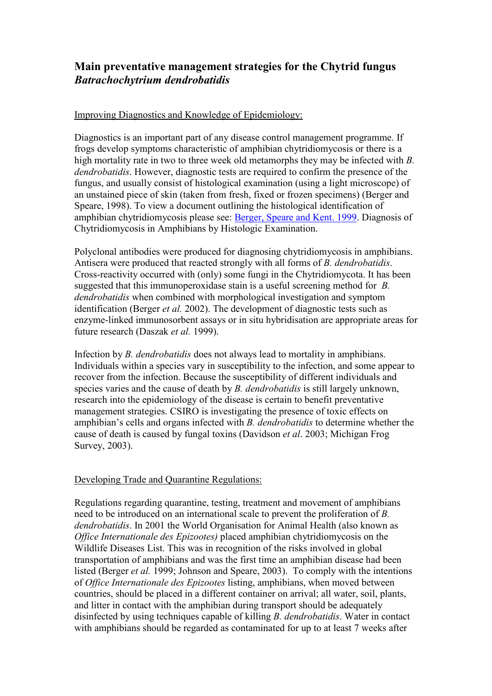# **Main preventative management strategies for the Chytrid fungus**  *Batrachochytrium dendrobatidis*

### Improving Diagnostics and Knowledge of Epidemiology:

Diagnostics is an important part of any disease control management programme. If frogs develop symptoms characteristic of amphibian chytridiomycosis or there is a high mortality rate in two to three week old metamorphs they may be infected with *B. dendrobatidis*. However, diagnostic tests are required to confirm the presence of the fungus, and usually consist of histological examination (using a light microscope) of an unstained piece of skin (taken from fresh, fixed or frozen specimens) (Berger and Speare, 1998). To view a document outlining the histological identification of amphibian chytridiomycosis please see: Berger, Speare and Kent. 1999. Diagnosis of Chytridiomycosis in Amphibians by Histologic Examination.

Polyclonal antibodies were produced for diagnosing chytridiomycosis in amphibians. Antisera were produced that reacted strongly with all forms of *B. dendrobatidis*. Cross-reactivity occurred with (only) some fungi in the Chytridiomycota. It has been suggested that this immunoperoxidase stain is a useful screening method for *B. dendrobatidis* when combined with morphological investigation and symptom identification (Berger *et al.* 2002). The development of diagnostic tests such as enzyme-linked immunosorbent assays or in situ hybridisation are appropriate areas for future research (Daszak *et al.* 1999).

Infection by *B. dendrobatidis* does not always lead to mortality in amphibians. Individuals within a species vary in susceptibility to the infection, and some appear to recover from the infection. Because the susceptibility of different individuals and species varies and the cause of death by *B. dendrobatidis* is still largely unknown, research into the epidemiology of the disease is certain to benefit preventative management strategies. CSIRO is investigating the presence of toxic effects on amphibian's cells and organs infected with *B. dendrobatidis* to determine whether the cause of death is caused by fungal toxins (Davidson *et al*. 2003; Michigan Frog Survey, 2003).

## Developing Trade and Quarantine Regulations:

Regulations regarding quarantine, testing, treatment and movement of amphibians need to be introduced on an international scale to prevent the proliferation of *B. dendrobatidis*. In 2001 the World Organisation for Animal Health (also known as *Office Internationale des Epizootes)* placed amphibian chytridiomycosis on the Wildlife Diseases List. This was in recognition of the risks involved in global transportation of amphibians and was the first time an amphibian disease had been listed (Berger *et al.* 1999; Johnson and Speare, 2003). To comply with the intentions of *Office Internationale des Epizootes* listing, amphibians, when moved between countries, should be placed in a different container on arrival; all water, soil, plants, and litter in contact with the amphibian during transport should be adequately disinfected by using techniques capable of killing *B. dendrobatidis*. Water in contact with amphibians should be regarded as contaminated for up to at least 7 weeks after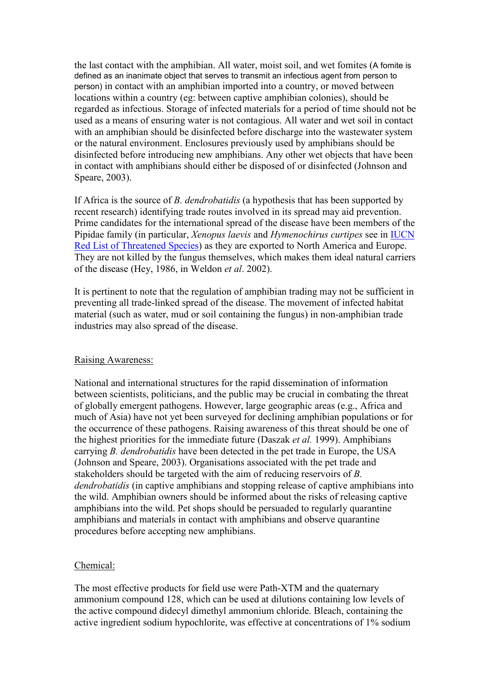the last contact with the amphibian. All water, moist soil, and wet fomites (A fomite is defined as an inanimate object that serves to transmit an infectious agent from person to person) in contact with an amphibian imported into a country, or moved between locations within a country (eg: between captive amphibian colonies), should be regarded as infectious. Storage of infected materials for a period of time should not be used as a means of ensuring water is not contagious. All water and wet soil in contact with an amphibian should be disinfected before discharge into the wastewater system or the natural environment. Enclosures previously used by amphibians should be disinfected before introducing new amphibians. Any other wet objects that have been in contact with amphibians should either be disposed of or disinfected (Johnson and Speare, 2003).

If Africa is the source of *B. dendrobatidis* (a hypothesis that has been supported by recent research) identifying trade routes involved in its spread may aid prevention. Prime candidates for the international spread of the disease have been members of the Pipidae family (in particular, *Xenopus laevis* and *Hymenochirus curtipes* see in IUCN Red List of Threatened Species) as they are exported to North America and Europe. They are not killed by the fungus themselves, which makes them ideal natural carriers of the disease (Hey, 1986, in Weldon *et al*. 2002).

It is pertinent to note that the regulation of amphibian trading may not be sufficient in preventing all trade-linked spread of the disease. The movement of infected habitat material (such as water, mud or soil containing the fungus) in non-amphibian trade industries may also spread of the disease.

#### Raising Awareness:

National and international structures for the rapid dissemination of information between scientists, politicians, and the public may be crucial in combating the threat of globally emergent pathogens. However, large geographic areas (e.g., Africa and much of Asia) have not yet been surveyed for declining amphibian populations or for the occurrence of these pathogens. Raising awareness of this threat should be one of the highest priorities for the immediate future (Daszak *et al.* 1999). Amphibians carrying *B. dendrobatidis* have been detected in the pet trade in Europe, the USA (Johnson and Speare, 2003). Organisations associated with the pet trade and stakeholders should be targeted with the aim of reducing reservoirs of *B. dendrobatidis* (in captive amphibians and stopping release of captive amphibians into the wild. Amphibian owners should be informed about the risks of releasing captive amphibians into the wild. Pet shops should be persuaded to regularly quarantine amphibians and materials in contact with amphibians and observe quarantine procedures before accepting new amphibians.

#### Chemical:

The most effective products for field use were Path-XTM and the quaternary ammonium compound 128, which can be used at dilutions containing low levels of the active compound didecyl dimethyl ammonium chloride. Bleach, containing the active ingredient sodium hypochlorite, was effective at concentrations of 1% sodium